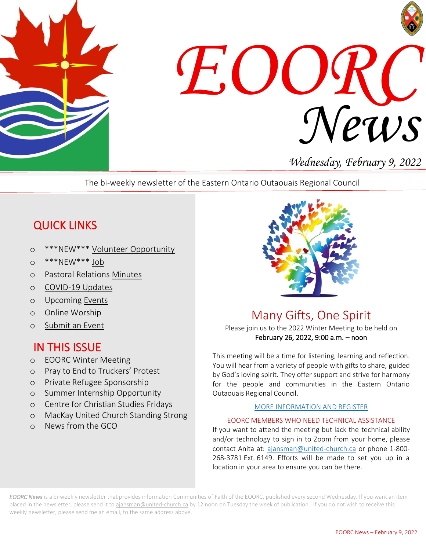



# *Wednesday, February 9, 2022*

The bi-weekly newsletter of the Eastern Ontario Outaouais Regional Council

# QUICK LINKS

- o \*\*\*NEW\*\*\* [Volunteer Opportunity](https://eoorc.ca/about-us/careers-volunteer-opportunities-2/)
- o \*\*\*NEW\*\*\* [Job](https://eoorc.ca/about-us/careers-volunteer-opportunities-2/)
- o Pastoral Relations [Minutes](https://eoorc.ca/ministries/pastoral-relations/)
- o [COVID-19 Updates](https://eoorc.ca/resources/covid-19/)
- o Upcoming [Events](https://eoorc.ca/events/)
- o [Online Worship](https://eoorc.ca/resources/online-worship/)
- o [Submit](https://eoorc.ca/events/community/add) an Event

## IN THIS ISSUE

- o EOORC Winter Meeting
- o Pray to End to Truckers' Protest
- o Private Refugee Sponsorship
- o Summer Internship Opportunity
- o Centre for Christian Studies Fridays
- o MacKay United Church Standing Strong
- o News from the GCO



Many Gifts, One Spirit

Please join us to the 2022 Winter Meeting to be held on February 26, 2022, 9:00 a.m. – noon

This meeting will be a time for listening, learning and reflection. You will hear from a variety of people with gifts to share, guided by God's loving spirit. They offer support and strive for harmony for the people and communities in the Eastern Ontario Outaouais Regional Council.

#### [MORE INFORMATION AND REGISTER](https://eoorc.ca/2022-eoorc-winter-meeting/)

#### EOORC MEMBERS WHO NEED TECHNICAL ASSISTANCE

 268-3781 Ext. 6149. Efforts will be made to set you up in a location in your area to ensure you can be there.If you want to attend the meeting but lack the technical ability and/or technology to sign in to Zoom from your home, please contact Anita at: [ajansman@united-church.ca](mailto:ajansman@united-church.ca) or phone 1-800-

*EOORC News* is a bi-weekly newsletter that provides information Communities of Faith of the EOORC, published every second Wednesday. If you want an item placed in the newsletter, please send it t[o ajansman@united-church.ca](mailto:ajansman@united-church.ca) by 12 noon on Tuesday the week of publication. If you do not wish to receive this weekly newsletter, please send me an email, to the same address above.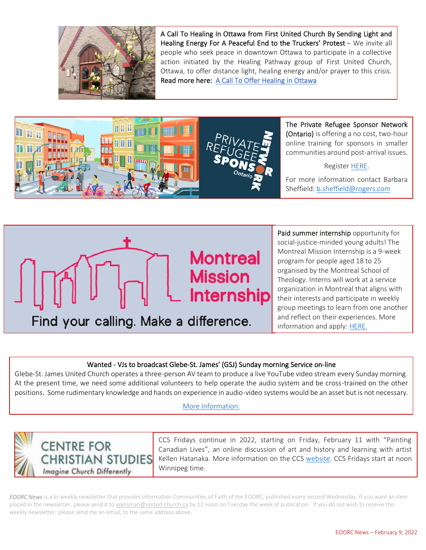

A Call To Healing In Ottawa from First United Church By Sending Light and Healing Energy For A Peaceful End to the Truckers' Protest - We invite all people who seek peace in downtown Ottawa to participate in a collective action initiated by the Healing Pathway group of First United Church, Ottawa, to offer distance light, healing energy and/or prayer to this crisis. Read more here: [A Call To Offer Healing in Ottawa](https://eoorc.ca/wp-content/uploads/2022/02/A-Call-To-Offer-Healing-in-Ottawa-1.pdf)



The Private Refugee Sponsor Network (Ontario) is offering a no cost, two-hour online training for sponsors in smaller communities around post-arrival issues.

Registe[r HERE.](https://www.eventbrite.ca/e/addressing-settlement-challenges-faced-by-sponsors-in-smaller-communities-tickets-259581213397)

For more information contact Barbara Sheffield[: b.sheffield@rogers.com](mailto:b.sheffield@rogers.com)

j



Paid summer internship opportunity for social-justice-minded young adults! The Montreal Mission Internship is a 9-week program for people aged 18 to 25 organised by the Montreal School of Theology. Interns will work at a service organization in Montreal that aligns with their interests and participate in weekly group meetings to learn from one another and reflect on their experiences. More information and apply: [HERE.](mailto:https://www.montrealmission.ca)

٦

#### Wanted - VJs to broadcast Glebe-St. James' (GSJ) Sunday morning Service on-line

Glebe-St. James United Church operates a three-person AV team to produce a live YouTube video stream every Sunday morning. At the present time, we need some additional volunteers to help operate the audio system and be cross-trained on the other positions. Some rudimentary knowledge and hands on experience in audio-video systems would be an asset but is not necessary.

#### [More Information.](https://eoorc.ca/about-us/careers-volunteer-opportunities-2/) j



CCS Fridays continue in 2022, starting on Friday, February 11 with "Painting Canadian Lives", an online discussion of art and history and learning with artist Kellen Hatanaka. More information on the CCS [website.](http://ccsonline.ca/2022/01/february-ccs-friday-painting-canadian-lives/) CCS Fridays start at noon Winnipeg time.

j

*EOORC News* is a bi-weekly newsletter that provides information Communities of Faith of the EOORC, published every second Wednesday. If you want an item placed in the newsletter, please send it t[o ajansman@united-church.ca](mailto:ajansman@united-church.ca) by 12 noon on Tuesday the week of publication. If you do not wish to receive this weekly newsletter, please send me an email, to the same address above.